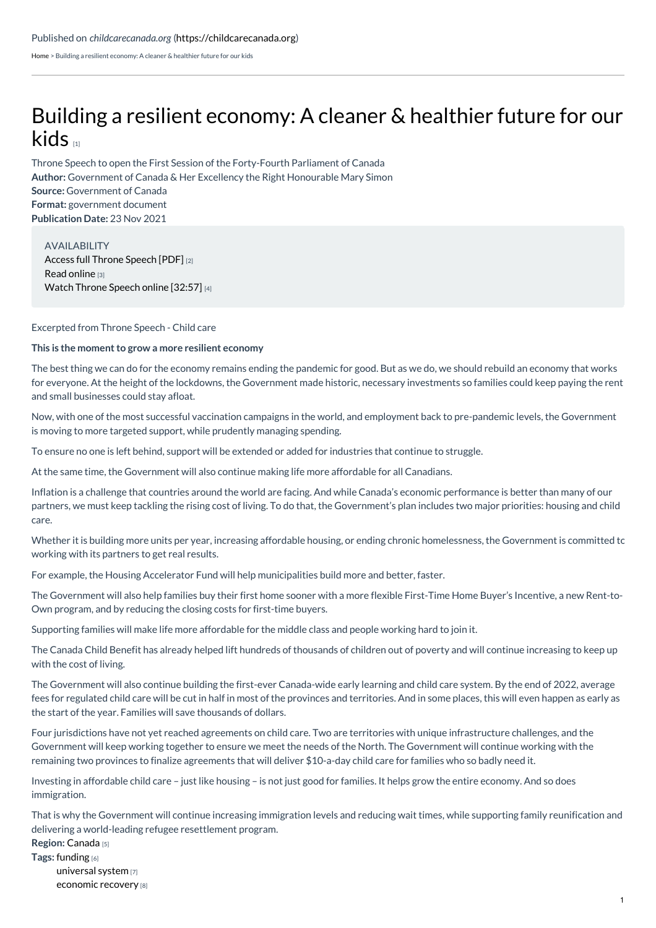[Home](https://childcarecanada.org/) > Building a resilient economy: A cleaner & healthier future for our kids

## Building a resilient [economy:](https://childcarecanada.org/documents/research-policy-practice/21/11/%25E2%2580%258B%25E2%2580%258Bbuilding-resilient-economy-cleaner-healthier-future-our) A cleaner & healthier future for our kids  $\overline{1}$

**Author:** Government of Canada & Her Excellency the Right Honourable Mary Simon **Source:** Government of Canada **Format:** government document **Publication Date:** 23 Nov 2021 Throne Speech to open the First Session of the Forty-Fourth Parliament of Canada

AVAILABILITY Access full [Throne](https://www.canada.ca/content/dam/pco-bcp/images/pm/2021-sft/SFT_2021_EN_WEB.pdf) Speech [PDF] [2] Read [online](https://www.canada.ca/en/privy-council/campaigns/speech-throne/2021/building-resilient-economy.html) [3] Watch [Throne](https://www.youtube.com/watch?v=ze52ZwiX7jo&ab_channel=JustinTrudeau%25E2%2580%2593PrimeMinisterofCanada) Speech online [32:57] [4]

Excerpted from Throne Speech - Child care

## **This is the moment to grow a more resilient economy**

The best thing we can do for the economy remains ending the pandemic for good. But as we do, we should rebuild an economy that works for everyone. At the height of the lockdowns, the Government made historic, necessary investments so families could keep paying the rent and small businesses could stay afloat.

Now, with one of the most successful vaccination campaigns in the world, and employment back to pre-pandemic levels, the Government is moving to more targeted support, while prudently managing spending.

To ensure no one is left behind, support will be extended or added for industries that continue to struggle.

At the same time, the Government will also continue making life more affordable for all Canadians.

Inflation is a challenge that countries around the world are facing. And while Canada's economic performance is better than many of our partners, we must keep tackling the rising cost of living. To do that, the Government's plan includes two major priorities: housing and child care.

Whether it is building more units per year, increasing affordable housing, or ending chronic homelessness, the Government is committed to working with its partners to get real results.

For example, the Housing Accelerator Fund will help municipalities build more and better, faster.

The Government will also help families buy their first home sooner with a more flexible First-Time Home Buyer's Incentive, a new Rent-to-Own program, and by reducing the closing costs for first-time buyers.

Supporting families will make life more affordable for the middle class and people working hard to join it.

The Canada Child Benefit has already helped lift hundreds of thousands of children out of poverty and will continue increasing to keep up with the cost of living.

The Government will also continue building the first-ever Canada-wide early learning and child care system. By the end of 2022, average fees for regulated child care will be cut in half in most of the provinces and territories. And in some places, this will even happen as early as the start of the year. Families will save thousands of dollars.

Four jurisdictions have not yet reached agreements on child care. Two are territories with unique infrastructure challenges, and the Government will keep working together to ensure we meet the needs of the North. The Government will continue working with the remaining two provinces to finalize agreements that will deliver \$10-a-day child care for families who so badly need it.

Investing in affordable child care – just like housing – is not just good for families. It helps grow the entire economy. And so does immigration.

That is why the Government will continue increasing immigration levels and reducing wait times, while supporting family reunification and delivering a world-leading refugee resettlement program.

**Region:** [Canada](https://childcarecanada.org/taxonomy/term/7864) [5]

**Tags:** [funding](https://childcarecanada.org/category/tags/funding) [6] [universal](https://childcarecanada.org/taxonomy/term/9083) system [7] [economic](https://childcarecanada.org/taxonomy/term/9038) recovery [8]